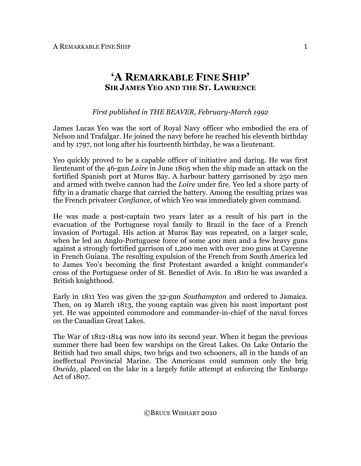## **'A REMARKABLE FINE SHIP' SIR JAMES YEO AND THE ST. LAWRENCE**

## *First published in THE BEAVER, February-March 1992*

James Lucas Yeo was the sort of Royal Navy officer who embodied the era of Nelson and Trafalgar. He joined the navy before he reached his eleventh birthday and by 1797, not long after his fourteenth birthday, he was a lieutenant.

Yeo quickly proved to be a capable officer of initiative and daring. He was first lieutenant of the 46-gun *Loire* in June 1805 when the ship made an attack on the fortified Spanish port at Muros Bay. A harbour battery garrisoned by 250 men and armed with twelve cannon had the *Loire* under fire. Yeo led a shore party of fifty in a dramatic charge that carried the battery. Among the resulting prizes was the French privateer *Confiance*, of which Yeo was immediately given command.

He was made a post-captain two years later as a result of his part in the evacuation of the Portuguese royal family to Brazil in the face of a French invasion of Portugal. His action at Muros Bay was repeated, on a larger scale, when he led an Anglo-Portuguese force of some 400 men and a few heavy guns against a strongly fortified garrison of 1,200 men with over 200 guns at Cayenne in French Guiana. The resulting expulsion of the French from South America led to James Yeo's becoming the first Protestant awarded a knight commander's cross of the Portuguese order of St. Benedict of Avis. In 1810 he was awarded a British knighthood.

Early in 1811 Yeo was given the 32-gun *Southampton* and ordered to Jamaica. Then, on 19 March 1813, the young captain was given his most important post yet. He was appointed commodore and commander-in-chief of the naval forces on the Canadian Great Lakes.

The War of 1812-1814 was now into its second year. When it began the previous summer there had been few warships on the Great Lakes. On Lake Ontario the British had two small ships, two brigs and two schooners, all in the hands of an ineffectual Provincial Marine. The Americans could summon only the brig *Oneida*, placed on the lake in a largely futile attempt at enforcing the Embargo Act of 1807.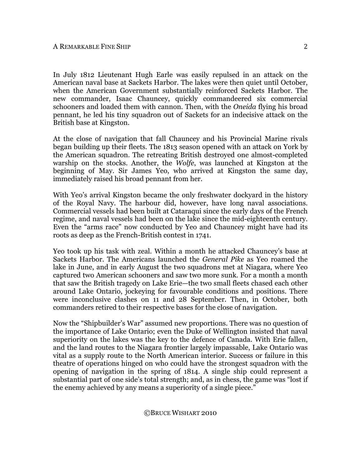In July 1812 Lieutenant Hugh Earle was easily repulsed in an attack on the American naval base at Sackets Harbor. The lakes were then quiet until October, when the American Government substantially reinforced Sackets Harbor. The new commander, Isaac Chauncey, quickly commandeered six commercial schooners and loaded them with cannon. Then, with the *Oneida* flying his broad pennant, he led his tiny squadron out of Sackets for an indecisive attack on the British base at Kingston.

At the close of navigation that fall Chauncey and his Provincial Marine rivals began building up their fleets. The 1813 season opened with an attack on York by the American squadron. The retreating British destroyed one almost-completed warship on the stocks. Another, the *Wolfe*, was launched at Kingston at the beginning of May. Sir James Yeo, who arrived at Kingston the same day, immediately raised his broad pennant from her.

With Yeo's arrival Kingston became the only freshwater dockyard in the history of the Royal Navy. The harbour did, however, have long naval associations. Commercial vessels had been built at Cataraqui since the early days of the French regime, and naval vessels had been on the lake since the mid-eighteenth century. Even the "arms race" now conducted by Yeo and Chauncey might have had its roots as deep as the French-British contest in 1741.

Yeo took up his task with zeal. Within a month he attacked Chauncey's base at Sackets Harbor. The Americans launched the *General Pike* as Yeo roamed the lake in June, and in early August the two squadrons met at Niagara, where Yeo captured two American schooners and saw two more sunk. For a month a month that saw the British tragedy on Lake Erie—the two small fleets chased each other around Lake Ontario, jockeying for favourable conditions and positions. There were inconclusive clashes on 11 and 28 September. Then, in October, both commanders retired to their respective bases for the close of navigation.

Now the "Shipbuilder's War" assumed new proportions. There was no question of the importance of Lake Ontario; even the Duke of Wellington insisted that naval superiority on the lakes was the key to the defence of Canada. With Erie fallen, and the land routes to the Niagara frontier largely impassable, Lake Ontario was vital as a supply route to the North American interior. Success or failure in this theatre of operations hinged on who could have the strongest squadron with the opening of navigation in the spring of 1814. A single ship could represent a substantial part of one side's total strength; and, as in chess, the game was "lost if the enemy achieved by any means a superiority of a single piece."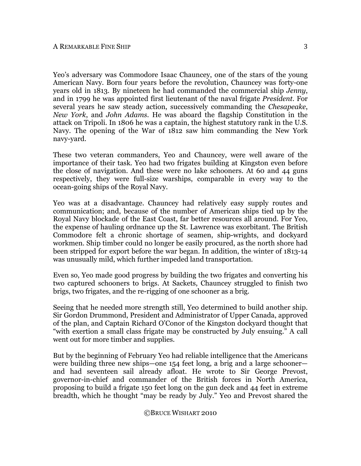Yeo's adversary was Commodore Isaac Chauncey, one of the stars of the young American Navy. Born four years before the revolution, Chauncey was forty-one years old in 1813. By nineteen he had commanded the commercial ship *Jenny*, and in 1799 he was appointed first lieutenant of the naval frigate *President*. For several years he saw steady action, successively commanding the *Chesapeake*, *New York*, and *John Adams*. He was aboard the flagship Constitution in the attack on Tripoli. In 1806 he was a captain, the highest statutory rank in the U.S. Navy. The opening of the War of 1812 saw him commanding the New York navy-yard.

These two veteran commanders, Yeo and Chauncey, were well aware of the importance of their task. Yeo had two frigates building at Kingston even before the close of navigation. And these were no lake schooners. At 60 and 44 guns respectively, they were full-size warships, comparable in every way to the ocean-going ships of the Royal Navy.

Yeo was at a disadvantage. Chauncey had relatively easy supply routes and communication; and, because of the number of American ships tied up by the Royal Navy blockade of the East Coast, far better resources all around. For Yeo, the expense of hauling ordnance up the St. Lawrence was exorbitant. The British Commodore felt a chronic shortage of seamen, ship-wrights, and dockyard workmen. Ship timber could no longer be easily procured, as the north shore had been stripped for export before the war began. In addition, the winter of 1813-14 was unusually mild, which further impeded land transportation.

Even so, Yeo made good progress by building the two frigates and converting his two captured schooners to brigs. At Sackets, Chauncey struggled to finish two brigs, two frigates, and the re-rigging of one schooner as a brig.

Seeing that he needed more strength still, Yeo determined to build another ship. Sir Gordon Drummond, President and Administrator of Upper Canada, approved of the plan, and Captain Richard O'Conor of the Kingston dockyard thought that "with exertion a small class frigate may be constructed by July ensuing." A call went out for more timber and supplies.

But by the beginning of February Yeo had reliable intelligence that the Americans were building three new ships—one 154 feet long, a brig and a large schooner and had seventeen sail already afloat. He wrote to Sir George Prevost, governor-in-chief and commander of the British forces in North America, proposing to build a frigate 150 feet long on the gun deck and 44 feet in extreme breadth, which he thought "may be ready by July." Yeo and Prevost shared the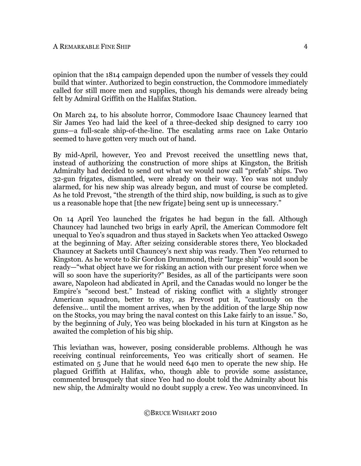opinion that the 1814 campaign depended upon the number of vessels they could build that winter. Authorized to begin construction, the Commodore immediately called for still more men and supplies, though his demands were already being felt by Admiral Griffith on the Halifax Station.

On March 24, to his absolute horror, Commodore Isaac Chauncey learned that Sir James Yeo had laid the keel of a three-decked ship designed to carry 100 guns—a full-scale ship-of-the-line. The escalating arms race on Lake Ontario seemed to have gotten very much out of hand.

By mid-April, however, Yeo and Prevost received the unsettling news that, instead of authorizing the construction of more ships at Kingston, the British Admiralty had decided to send out what we would now call "prefab" ships. Two 32-gun frigates, dismantled, were already on their way. Yeo was not unduly alarmed, for his new ship was already begun, and must of course be completed. As he told Prevost, "the strength of the third ship, now building, is such as to give us a reasonable hope that [the new frigate] being sent up is unnecessary."

On 14 April Yeo launched the frigates he had begun in the fall. Although Chauncey had launched two brigs in early April, the American Commodore felt unequal to Yeo's squadron and thus stayed in Sackets when Yeo attacked Oswego at the beginning of May. After seizing considerable stores there, Yeo blockaded Chauncey at Sackets until Chauncey's next ship was ready. Then Yeo returned to Kingston. As he wrote to Sir Gordon Drummond, their "large ship" would soon be ready—"what object have we for risking an action with our present force when we will so soon have the superiority?" Besides, as all of the participants were soon aware, Napoleon had abdicated in April, and the Canadas would no longer be the Empire's "second best." Instead of risking conflict with a slightly stronger American squadron, better to stay, as Prevost put it, "cautiously on the defensive… until the moment arrives, when by the addition of the large Ship now on the Stocks, you may bring the naval contest on this Lake fairly to an issue." So, by the beginning of July, Yeo was being blockaded in his turn at Kingston as he awaited the completion of his big ship.

This leviathan was, however, posing considerable problems. Although he was receiving continual reinforcements, Yeo was critically short of seamen. He estimated on 5 June that he would need 640 men to operate the new ship. He plagued Griffith at Halifax, who, though able to provide some assistance, commented brusquely that since Yeo had no doubt told the Admiralty about his new ship, the Admiralty would no doubt supply a crew. Yeo was unconvinced. In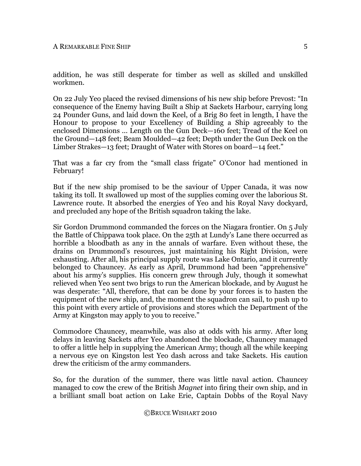addition, he was still desperate for timber as well as skilled and unskilled workmen.

On 22 July Yeo placed the revised dimensions of his new ship before Prevost: "In consequence of the Enemy having Built a Ship at Sackets Harbour, carrying long 24 Pounder Guns, and laid down the Keel, of a Brig 80 feet in length, I have the Honour to propose to your Excellency of Building a Ship agreeably to the enclosed Dimensions ... Length on the Gun Deck—160 feet; Tread of the Keel on the Ground—148 feet; Beam Moulded—42 feet; Depth under the Gun Deck on the Limber Strakes—13 feet; Draught of Water with Stores on board—14 feet."

That was a far cry from the "small class frigate" O'Conor had mentioned in February!

But if the new ship promised to be the saviour of Upper Canada, it was now taking its toll. It swallowed up most of the supplies coming over the laborious St. Lawrence route. It absorbed the energies of Yeo and his Royal Navy dockyard, and precluded any hope of the British squadron taking the lake.

Sir Gordon Drummond commanded the forces on the Niagara frontier. On 5 July the Battle of Chippawa took place. On the 25th at Lundy's Lane there occurred as horrible a bloodbath as any in the annals of warfare. Even without these, the drains on Drummond's resources, just maintaining his Right Division, were exhausting. After all, his principal supply route was Lake Ontario, and it currently belonged to Chauncey. As early as April, Drummond had been "apprehensive" about his army's supplies. His concern grew through July, though it somewhat relieved when Yeo sent two brigs to run the American blockade, and by August he was desperate: "All, therefore, that can be done by your forces is to hasten the equipment of the new ship, and, the moment the squadron can sail, to push up to this point with every article of provisions and stores which the Department of the Army at Kingston may apply to you to receive."

Commodore Chauncey, meanwhile, was also at odds with his army. After long delays in leaving Sackets after Yeo abandoned the blockade, Chauncey managed to offer a little help in supplying the American Army; though all the while keeping a nervous eye on Kingston lest Yeo dash across and take Sackets. His caution drew the criticism of the army commanders.

So, for the duration of the summer, there was little naval action. Chauncey managed to cow the crew of the British *Magnet* into firing their own ship, and in a brilliant small boat action on Lake Erie, Captain Dobbs of the Royal Navy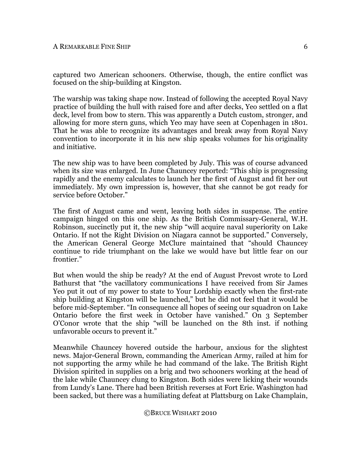captured two American schooners. Otherwise, though, the entire conflict was focused on the ship-building at Kingston.

The warship was taking shape now. Instead of following the accepted Royal Navy practice of building the hull with raised fore and after decks, Yeo settled on a flat deck, level from bow to stern. This was apparently a Dutch custom, stronger, and allowing for more stern guns, which Yeo may have seen at Copenhagen in 1801. That he was able to recognize its advantages and break away from Royal Navy convention to incorporate it in his new ship speaks volumes for his originality and initiative.

The new ship was to have been completed by July. This was of course advanced when its size was enlarged. In June Chauncey reported: "This ship is progressing rapidly and the enemy calculates to launch her the first of August and fit her out immediately. My own impression is, however, that she cannot be got ready for service before October."

The first of August came and went, leaving both sides in suspense. The entire campaign hinged on this one ship. As the British Commissary-General, W.H. Robinson, succinctly put it, the new ship "will acquire naval superiority on Lake Ontario. If not the Right Division on Niagara cannot be supported." Conversely, the American General George McClure maintained that "should Chauncey continue to ride triumphant on the lake we would have but little fear on our frontier."

But when would the ship be ready? At the end of August Prevost wrote to Lord Bathurst that "the vacillatory communications I have received from Sir James Yeo put it out of my power to state to Your Lordship exactly when the first-rate ship building at Kingston will be launched," but he did not feel that it would be before mid-September. "In consequence all hopes of seeing our squadron on Lake Ontario before the first week in October have vanished." On 3 September O'Conor wrote that the ship "will be launched on the 8th inst. if nothing unfavorable occurs to prevent it."

Meanwhile Chauncey hovered outside the harbour, anxious for the slightest news. Major-General Brown, commanding the American Army, railed at him for not supporting the army while he had command of the lake. The British Right Division spirited in supplies on a brig and two schooners working at the head of the lake while Chauncey clung to Kingston. Both sides were licking their wounds from Lundy's Lane. There had been British reverses at Fort Erie. Washington had been sacked, but there was a humiliating defeat at Plattsburg on Lake Champlain,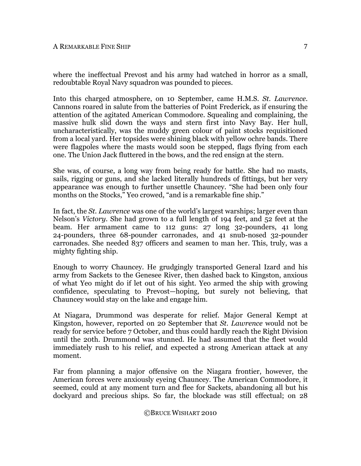where the ineffectual Prevost and his army had watched in horror as a small, redoubtable Royal Navy squadron was pounded to pieces.

Into this charged atmosphere, on 10 September, came H.M.S. *St. Lawrence*. Cannons roared in salute from the batteries of Point Frederick, as if ensuring the attention of the agitated American Commodore. Squealing and complaining, the massive hulk slid down the ways and stern first into Navy Bay. Her hull, uncharacteristically, was the muddy green colour of paint stocks requisitioned from a local yard. Her topsides were shining black with yellow ochre bands. There were flagpoles where the masts would soon be stepped, flags flying from each one. The Union Jack fluttered in the bows, and the red ensign at the stern.

She was, of course, a long way from being ready for battle. She had no masts, sails, rigging or guns, and she lacked literally hundreds of fittings, but her very appearance was enough to further unsettle Chauncey. "She had been only four months on the Stocks," Yeo crowed, "and is a remarkable fine ship."

In fact, the *St. Lawrence* was one of the world's largest warships; larger even than Nelson's *Victory*. She had grown to a full length of 194 feet, and 52 feet at the beam. Her armament came to 112 guns: 27 long 32-pounders, 41 long 24-pounders, three 68-pounder carronades, and 41 snub-nosed 32-pounder carronades. She needed 837 officers and seamen to man her. This, truly, was a mighty fighting ship.

Enough to worry Chauncey. He grudgingly transported General Izard and his army from Sackets to the Genesee River, then dashed back to Kingston, anxious of what Yeo might do if let out of his sight. Yeo armed the ship with growing confidence, speculating to Prevost—hoping, but surely not believing, that Chauncey would stay on the lake and engage him.

At Niagara, Drummond was desperate for relief. Major General Kempt at Kingston, however, reported on 20 September that *St. Lawrence* would not be ready for service before 7 October, and thus could hardly reach the Right Division until the 20th. Drummond was stunned. He had assumed that the fleet would immediately rush to his relief, and expected a strong American attack at any moment.

Far from planning a major offensive on the Niagara frontier, however, the American forces were anxiously eyeing Chauncey. The American Commodore, it seemed, could at any moment turn and flee for Sackets, abandoning all but his dockyard and precious ships. So far, the blockade was still effectual; on 28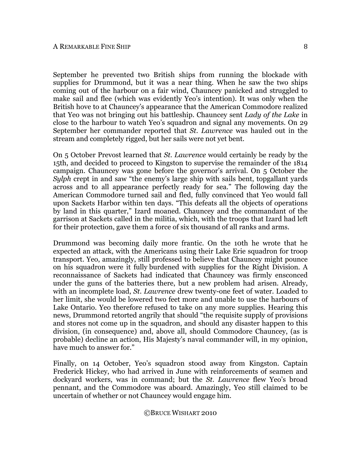September he prevented two British ships from running the blockade with supplies for Drummond, but it was a near thing. When he saw the two ships coming out of the harbour on a fair wind, Chauncey panicked and struggled to make sail and flee (which was evidently Yeo's intention). It was only when the British hove to at Chauncey's appearance that the American Commodore realized that Yeo was not bringing out his battleship. Chauncey sent *Lady of the Lake* in close to the harbour to watch Yeo's squadron and signal any movements. On 29 September her commander reported that *St. Lawrence* was hauled out in the stream and completely rigged, but her sails were not yet bent.

On 5 October Prevost learned that *St. Lawrence* would certainly be ready by the 15th, and decided to proceed to Kingston to supervise the remainder of the 1814 campaign. Chauncey was gone before the governor's arrival. On 5 October the *Sylph* crept in and saw "the enemy's large ship with sails bent, topgallant yards across and to all appearance perfectly ready for sea." The following day the American Commodore turned sail and fled, fully convinced that Yeo would fall upon Sackets Harbor within ten days. "This defeats all the objects of operations by land in this quarter," Izard moaned. Chauncey and the commandant of the garrison at Sackets called in the militia, which, with the troops that Izard had left for their protection, gave them a force of six thousand of all ranks and arms.

Drummond was becoming daily more frantic. On the 10th he wrote that he expected an attack, with the Americans using their Lake Erie squadron for troop transport. Yeo, amazingly, still professed to believe that Chauncey might pounce on his squadron were it fully burdened with supplies for the Right Division. A reconnaissance of Sackets had indicated that Chauncey was firmly ensconced under the guns of the batteries there, but a new problem had arisen. Already, with an incomplete load, *St. Lawrence* drew twenty-one feet of water. Loaded to her limit, she would be lowered two feet more and unable to use the harbours of Lake Ontario. Yeo therefore refused to take on any more supplies. Hearing this news, Drummond retorted angrily that should "the requisite supply of provisions and stores not come up in the squadron, and should any disaster happen to this division, (in consequence) and, above all, should Commodore Chauncey, (as is probable) decline an action, His Majesty's naval commander will, in my opinion, have much to answer for."

Finally, on 14 October, Yeo's squadron stood away from Kingston. Captain Frederick Hickey, who had arrived in June with reinforcements of seamen and dockyard workers, was in command; but the *St. Lawrence* flew Yeo's broad pennant, and the Commodore was aboard. Amazingly, Yeo still claimed to be uncertain of whether or not Chauncey would engage him.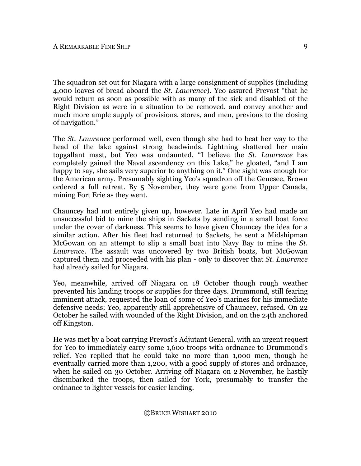The squadron set out for Niagara with a large consignment of supplies (including 4,000 loaves of bread aboard the *St. Lawrence*). Yeo assured Prevost "that he would return as soon as possible with as many of the sick and disabled of the Right Division as were in a situation to be removed, and convey another and much more ample supply of provisions, stores, and men, previous to the closing of navigation."

The *St. Lawrence* performed well, even though she had to beat her way to the head of the lake against strong headwinds. Lightning shattered her main topgallant mast, but Yeo was undaunted. "I believe the *St. Lawrence* has completely gained the Naval ascendency on this Lake," he gloated, "and I am happy to say, she sails very superior to anything on it." One sight was enough for the American army. Presumably sighting Yeo's squadron off the Genesee, Brown ordered a full retreat. By 5 November, they were gone from Upper Canada, mining Fort Erie as they went.

Chauncey had not entirely given up, however. Late in April Yeo had made an unsuccessful bid to mine the ships in Sackets by sending in a small boat force under the cover of darkness. This seems to have given Chauncey the idea for a similar action. After his fleet had returned to Sackets, he sent a Midshipman McGowan on an attempt to slip a small boat into Navy Bay to mine the *St. Lawrence*. The assault was uncovered by two British boats, but McGowan captured them and proceeded with his plan - only to discover that *St. Lawrence* had already sailed for Niagara.

Yeo, meanwhile, arrived off Niagara on 18 October though rough weather prevented his landing troops or supplies for three days. Drummond, still fearing imminent attack, requested the loan of some of Yeo's marines for his immediate defensive needs; Yeo, apparently still apprehensive of Chauncey, refused. On 22 October he sailed with wounded of the Right Division, and on the 24th anchored off Kingston.

He was met by a boat carrying Prevost's Adjutant General, with an urgent request for Yeo to immediately carry some 1,600 troops with ordnance to Drummond's relief. Yeo replied that he could take no more than 1,000 men, though he eventually carried more than 1,200, with a good supply of stores and ordnance, when he sailed on 30 October. Arriving off Niagara on 2 November, he hastily disembarked the troops, then sailed for York, presumably to transfer the ordnance to lighter vessels for easier landing.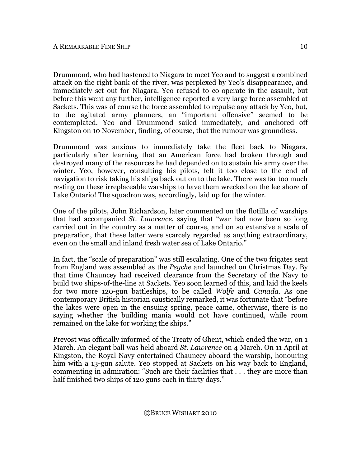Drummond, who had hastened to Niagara to meet Yeo and to suggest a combined attack on the right bank of the river, was perplexed by Yeo's disappearance, and immediately set out for Niagara. Yeo refused to co-operate in the assault, but before this went any further, intelligence reported a very large force assembled at Sackets. This was of course the force assembled to repulse any attack by Yeo, but, to the agitated army planners, an "important offensive" seemed to be contemplated. Yeo and Drummond sailed immediately, and anchored off Kingston on 10 November, finding, of course, that the rumour was groundless.

Drummond was anxious to immediately take the fleet back to Niagara, particularly after learning that an American force had broken through and destroyed many of the resources he had depended on to sustain his army over the winter. Yeo, however, consulting his pilots, felt it too close to the end of navigation to risk taking his ships back out on to the lake. There was far too much resting on these irreplaceable warships to have them wrecked on the lee shore of Lake Ontario! The squadron was, accordingly, laid up for the winter.

One of the pilots, John Richardson, later commented on the flotilla of warships that had accompanied *St. Lawrence*, saying that "war had now been so long carried out in the country as a matter of course, and on so extensive a scale of preparation, that these latter were scarcely regarded as anything extraordinary, even on the small and inland fresh water sea of Lake Ontario."

In fact, the "scale of preparation" was still escalating. One of the two frigates sent from England was assembled as the *Psyche* and launched on Christmas Day. By that time Chauncey had received clearance from the Secretary of the Navy to build two ships-of-the-line at Sackets. Yeo soon learned of this, and laid the keels for two more 120-gun battleships, to be called *Wolfe* and *Canada*. As one contemporary British historian caustically remarked, it was fortunate that "before the lakes were open in the ensuing spring, peace came, otherwise, there is no saying whether the building mania would not have continued, while room remained on the lake for working the ships."

Prevost was officially informed of the Treaty of Ghent, which ended the war, on 1 March. An elegant ball was held aboard *St. Lawrence* on 4 March. On 11 April at Kingston, the Royal Navy entertained Chauncey aboard the warship, honouring him with a 13-gun salute. Yeo stopped at Sackets on his way back to England, commenting in admiration: "Such are their facilities that . . . they are more than half finished two ships of 120 guns each in thirty days."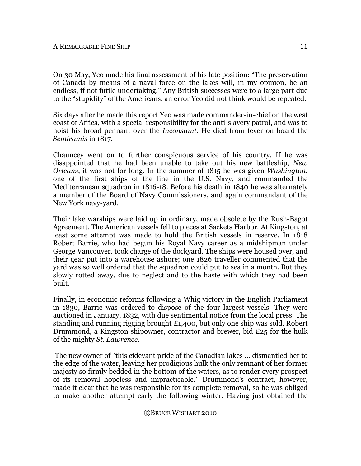On 30 May, Yeo made his final assessment of his late position: "The preservation of Canada by means of a naval force on the lakes will, in my opinion, be an endless, if not futile undertaking." Any British successes were to a large part due to the "stupidity" of the Americans, an error Yeo did not think would be repeated.

Six days after he made this report Yeo was made commander-in-chief on the west coast of Africa, with a special responsibility for the anti-slavery patrol, and was to hoist his broad pennant over the *Inconstant*. He died from fever on board the *Semiramis* in 1817.

Chauncey went on to further conspicuous service of his country. If he was disappointed that he had been unable to take out his new battleship, *New Orleans*, it was not for long. In the summer of 1815 he was given *Washington*, one of the first ships of the line in the U.S. Navy, and commanded the Mediterranean squadron in 1816-18. Before his death in 1840 he was alternately a member of the Board of Navy Commissioners, and again commandant of the New York navy-yard.

Their lake warships were laid up in ordinary, made obsolete by the Rush-Bagot Agreement. The American vessels fell to pieces at Sackets Harbor. At Kingston, at least some attempt was made to hold the British vessels in reserve. In 1818 Robert Barrie, who had begun his Royal Navy career as a midshipman under George Vancouver, took charge of the dockyard. The ships were housed over, and their gear put into a warehouse ashore; one 1826 traveller commented that the yard was so well ordered that the squadron could put to sea in a month. But they slowly rotted away, due to neglect and to the haste with which they had been built.

Finally, in economic reforms following a Whig victory in the English Parliament in 1830, Barrie was ordered to dispose of the four largest vessels. They were auctioned in January, 1832, with due sentimental notice from the local press. The standing and running rigging brought £1,400, but only one ship was sold. Robert Drummond, a Kingston shipowner, contractor and brewer, bid £25 for the hulk of the mighty *St. Lawrence*.

 The new owner of "this cidevant pride of the Canadian lakes ... dismantled her to the edge of the water, leaving her prodigious hulk the only remnant of her former majesty so firmly bedded in the bottom of the waters, as to render every prospect of its removal hopeless and impracticable." Drummond's contract, however, made it clear that he was responsible for its complete removal, so he was obliged to make another attempt early the following winter. Having just obtained the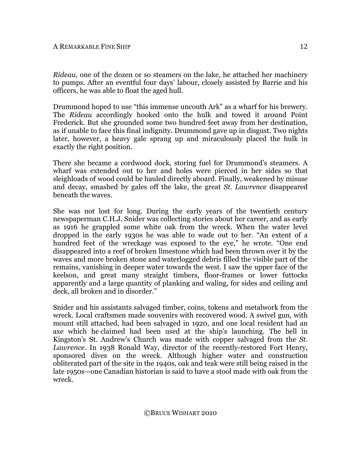*Rideau*, one of the dozen or so steamers on the lake, he attached her machinery to pumps. After an eventful four days' labour, closely assisted by Barrie and his officers, he was able to float the aged hull.

Drummond hoped to use "this immense uncouth Ark" as a wharf for his brewery. The *Rideau* accordingly hooked onto the hulk and towed it around Point Frederick. But she grounded some two hundred feet away from her destination, as if unable to face this final indignity. Drummond gave up in disgust. Two nights later, however, a heavy gale sprang up and miraculously placed the hulk in exactly the right position.

There she became a cordwood dock, storing fuel for Drummond's steamers. A wharf was extended out to her and holes were pierced in her sides so that sleighloads of wood could be hauled directly aboard. Finally, weakened by misuse and decay, smashed by gales off the lake, the great *St. Lawrence* disappeared beneath the waves.

She was not lost for long. During the early years of the twentieth century newspaperman C.H.J. Snider was collecting stories about her career, and as early as 1916 he grappled some white oak from the wreck. When the water level dropped in the early 1930s he was able to wade out to her. "An extent of a hundred feet of the wreckage was exposed to the eye," he wrote. "One end disappeared into a reef of broken limestone which had been thrown over it by the waves and more broken stone and waterlogged debris filled the visible part of the remains, vanishing in deeper water towards the west. I saw the upper face of the keelson, and great many straight timbers, floor-frames or lower futtocks apparently and a large quantity of planking and waling, for sides and ceiling and deck, all broken and in disorder."

Snider and his assistants salvaged timber, coins, tokens and metalwork from the wreck. Local craftsmen made souvenirs with recovered wood. A swivel gun, with mount still attached, had been salvaged in 1920, and one local resident had an axe which he claimed had been used at the ship's launching. The bell in Kingston's St. Andrew's Church was made with copper salvaged from the *St. Lawrence*. In 1938 Ronald Way, director of the recently-restored Fort Henry, sponsored dives on the wreck. Although higher water and construction obliterated part of the site in the 1940s, oak and teak were still being raised in the late 1950s—one Canadian historian is said to have a stool made with oak from the wreck.